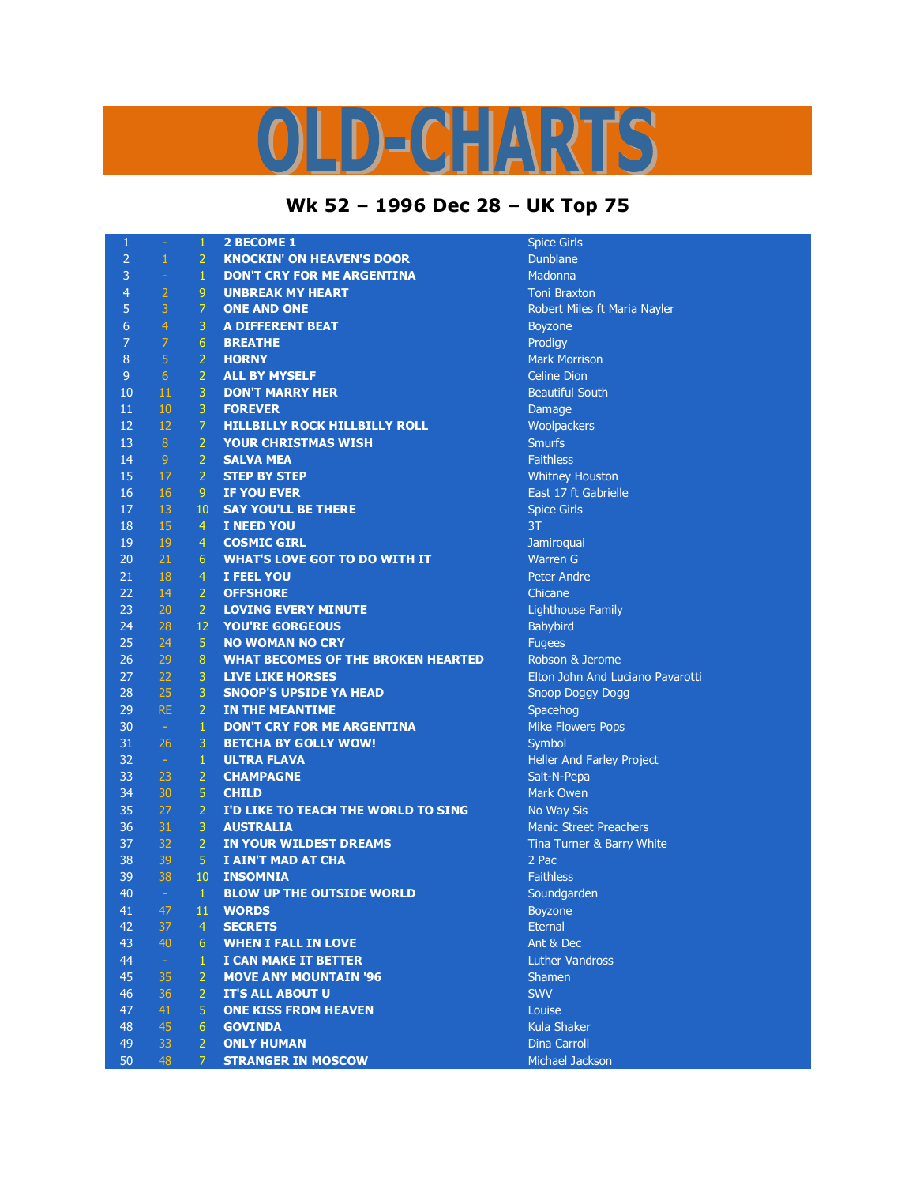## OLD-CHARTS

## **Wk 52 – 1996 Dec 28 – UK Top 75**

| 1              | $\rightarrow$   | 1              | <b>2 BECOME 1</b>                         | <b>Spice Girls</b>               |
|----------------|-----------------|----------------|-------------------------------------------|----------------------------------|
| $\overline{2}$ | $\mathbf{1}$    | 2 <sup>1</sup> | <b>KNOCKIN' ON HEAVEN'S DOOR</b>          | Dunblane                         |
| 3              | $\equiv$        | $\mathbf{1}$   | <b>DON'T CRY FOR ME ARGENTINA</b>         | Madonna                          |
| $\overline{4}$ | $\overline{2}$  | 9 <sup>°</sup> | <b>UNBREAK MY HEART</b>                   | <b>Toni Braxton</b>              |
| 5              | 3               | $\overline{7}$ | <b>ONE AND ONE</b>                        | Robert Miles ft Maria Nayler     |
| 6              | $\overline{4}$  | 3              | <b>A DIFFERENT BEAT</b>                   | <b>Boyzone</b>                   |
| $\overline{7}$ | $\overline{7}$  | 6 <sup>1</sup> | <b>BREATHE</b>                            | Prodigy                          |
| 8              | 5               | 2 <sup>1</sup> | <b>HORNY</b>                              | <b>Mark Morrison</b>             |
| 9              | $6\phantom{1}6$ | 2 <sup>1</sup> | <b>ALL BY MYSELF</b>                      | <b>Celine Dion</b>               |
| 10             | 11              | 3 <sup>1</sup> | <b>DON'T MARRY HER</b>                    | <b>Beautiful South</b>           |
| 11             | 10              | 3 <sup>1</sup> | <b>FOREVER</b>                            | Damage                           |
| 12             | 12              | $\mathcal{I}$  | <b>HILLBILLY ROCK HILLBILLY ROLL</b>      | Woolpackers                      |
| 13             | $\bf 8$         | 2 <sup>1</sup> | <b>YOUR CHRISTMAS WISH</b>                | <b>Smurfs</b>                    |
| 14             | $\overline{9}$  | 2 <sup>1</sup> | <b>SALVA MEA</b>                          | <b>Faithless</b>                 |
| 15             | 17              | $2 -$          | <b>STEP BY STEP</b>                       | <b>Whitney Houston</b>           |
| 16             | 16              | 9 <sup>°</sup> | <b>IF YOU EVER</b>                        | East 17 ft Gabrielle             |
| 17             | 13              | 10             | <b>SAY YOU'LL BE THERE</b>                | <b>Spice Girls</b>               |
| 18             | 15              | $\overline{4}$ | <b>I NEED YOU</b>                         | 3T                               |
| 19             | 19              | 4              | <b>COSMIC GIRL</b>                        | Jamiroquai                       |
| 20             | 21              | 6              | <b>WHAT'S LOVE GOT TO DO WITH IT</b>      | <b>Warren G</b>                  |
| 21             | 18              | $\overline{4}$ | I FEEL YOU                                | <b>Peter Andre</b>               |
| 22             | 14              | 2 <sup>1</sup> | <b>OFFSHORE</b>                           | Chicane                          |
| 23             | 20              | 2 <sup>1</sup> | <b>LOVING EVERY MINUTE</b>                | <b>Lighthouse Family</b>         |
| 24             | 28              | $12-$          | <b>YOU'RE GORGEOUS</b>                    | <b>Babybird</b>                  |
| 25             | 24              | 5              | <b>NO WOMAN NO CRY</b>                    | <b>Fugees</b>                    |
| 26             | 29              | 8              | <b>WHAT BECOMES OF THE BROKEN HEARTED</b> | Robson & Jerome                  |
| 27             | 22              | 3              | <b>LIVE LIKE HORSES</b>                   | Elton John And Luciano Pavarotti |
| 28             | 25              | 3              | <b>SNOOP'S UPSIDE YA HEAD</b>             | <b>Snoop Doggy Dogg</b>          |
| 29             | <b>RE</b>       | 2 <sup>1</sup> | <b>IN THE MEANTIME</b>                    | Spacehog                         |
| 30             | $\sim$          | $\mathbf{1}$   | <b>DON'T CRY FOR ME ARGENTINA</b>         | <b>Mike Flowers Pops</b>         |
| 31             | 26              | 3              | <b>BETCHA BY GOLLY WOW!</b>               | Symbol                           |
| 32             | $\sim$          | $1 -$          | <b>ULTRA FLAVA</b>                        | Heller And Farley Project        |
| 33             | 23              | $\overline{2}$ | <b>CHAMPAGNE</b>                          | Salt-N-Pepa                      |
| 34             | 30              | 5 <sup>1</sup> | <b>CHILD</b>                              | <b>Mark Owen</b>                 |
| 35             | 27              | $\overline{2}$ | I'D LIKE TO TEACH THE WORLD TO SING       | No Way Sis                       |
| 36             | 31              | 3 <sup>1</sup> | <b>AUSTRALIA</b>                          | <b>Manic Street Preachers</b>    |
| 37             | 32              | 2 <sup>1</sup> | <b>IN YOUR WILDEST DREAMS</b>             | Tina Turner & Barry White        |
| 38             | 39              | $5 -$          | I AIN'T MAD AT CHA                        | 2 Pac                            |
| 39             | 38              | 10             | INSOMNIA                                  | <b>Faithless</b>                 |
| 40             | $\sim$          | $\mathbf{1}$   | <b>BLOW UP THE OUTSIDE WORLD</b>          | Soundgarden                      |
| 41             | 47              |                | 11 WORDS                                  | Boyzone                          |
| 42             | 37              | $\overline{4}$ | <b>SECRETS</b>                            | <b>Eternal</b>                   |
| 43             | 40              | $6^{\circ}$    | <b>WHEN I FALL IN LOVE</b>                | Ant & Dec                        |
| 44             | $\omega$        | $\mathbf{1}$   | <b>I CAN MAKE IT BETTER</b>               | <b>Luther Vandross</b>           |
| 45             | 35              | 2 <sup>1</sup> | <b>MOVE ANY MOUNTAIN '96</b>              | <b>Shamen</b>                    |
| 46             | 36              | $\overline{2}$ | <b>IT'S ALL ABOUT U</b>                   | <b>SWV</b>                       |
| 47             | 41              | 5              | <b>ONE KISS FROM HEAVEN</b>               | Louise                           |
| 48             | 45              | 6 <sup>1</sup> | <b>GOVINDA</b>                            | <b>Kula Shaker</b>               |
| 49             | 33              | 2 <sup>1</sup> | <b>ONLY HUMAN</b>                         | Dina Carroll                     |
| 50             | 48              | 7 <sup>1</sup> | <b>STRANGER IN MOSCOW</b>                 | Michael Jackson                  |
|                |                 |                |                                           |                                  |